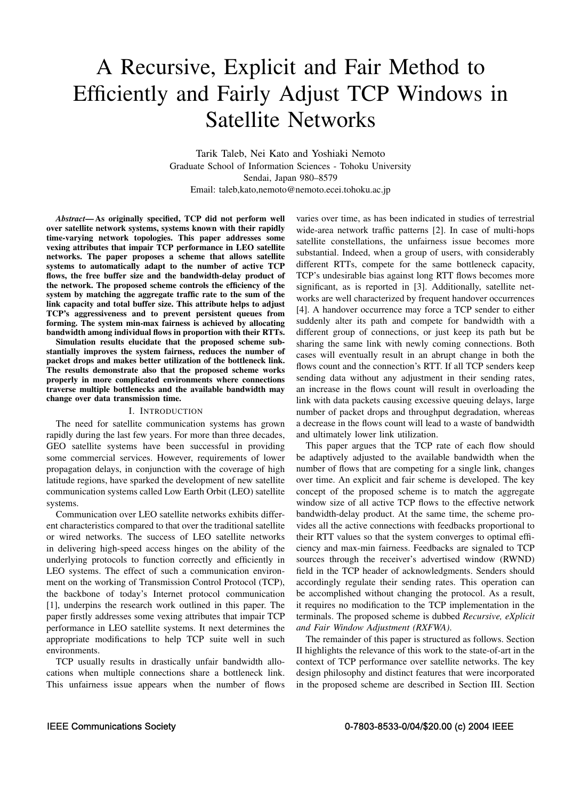# A Recursive, Explicit and Fair Method to Efficiently and Fairly Adjust TCP Windows in Satellite Networks

Tarik Taleb, Nei Kato and Yoshiaki Nemoto Graduate School of Information Sciences - Tohoku University Sendai, Japan 980–8579 Email: taleb,kato,nemoto@nemoto.ecei.tohoku.ac.jp

*Abstract***— As originally specified, TCP did not perform well over satellite network systems, systems known with their rapidly time-varying network topologies. This paper addresses some vexing attributes that impair TCP performance in LEO satellite networks. The paper proposes a scheme that allows satellite systems to automatically adapt to the number of active TCP flows, the free buffer size and the bandwidth-delay product of the network. The proposed scheme controls the efficiency of the system by matching the aggregate traffic rate to the sum of the link capacity and total buffer size. This attribute helps to adjust TCP's aggressiveness and to prevent persistent queues from forming. The system min-max fairness is achieved by allocating bandwidth among individual flows in proportion with their RTTs.**

**Simulation results elucidate that the proposed scheme substantially improves the system fairness, reduces the number of packet drops and makes better utilization of the bottleneck link. The results demonstrate also that the proposed scheme works properly in more complicated environments where connections traverse multiple bottlenecks and the available bandwidth may change over data transmission time.**

#### I. INTRODUCTION

The need for satellite communication systems has grown rapidly during the last few years. For more than three decades, GEO satellite systems have been successful in providing some commercial services. However, requirements of lower propagation delays, in conjunction with the coverage of high latitude regions, have sparked the development of new satellite communication systems called Low Earth Orbit (LEO) satellite systems.

Communication over LEO satellite networks exhibits different characteristics compared to that over the traditional satellite or wired networks. The success of LEO satellite networks in delivering high-speed access hinges on the ability of the underlying protocols to function correctly and efficiently in LEO systems. The effect of such a communication environment on the working of Transmission Control Protocol (TCP), the backbone of today's Internet protocol communication [1], underpins the research work outlined in this paper. The paper firstly addresses some vexing attributes that impair TCP performance in LEO satellite systems. It next determines the appropriate modifications to help TCP suite well in such environments.

TCP usually results in drastically unfair bandwidth allocations when multiple connections share a bottleneck link. This unfairness issue appears when the number of flows varies over time, as has been indicated in studies of terrestrial wide-area network traffic patterns [2]. In case of multi-hops satellite constellations, the unfairness issue becomes more substantial. Indeed, when a group of users, with considerably different RTTs, compete for the same bottleneck capacity, TCP's undesirable bias against long RTT flows becomes more significant, as is reported in [3]. Additionally, satellite networks are well characterized by frequent handover occurrences [4]. A handover occurrence may force a TCP sender to either suddenly alter its path and compete for bandwidth with a different group of connections, or just keep its path but be sharing the same link with newly coming connections. Both cases will eventually result in an abrupt change in both the flows count and the connection's RTT. If all TCP senders keep sending data without any adjustment in their sending rates, an increase in the flows count will result in overloading the link with data packets causing excessive queuing delays, large number of packet drops and throughput degradation, whereas a decrease in the flows count will lead to a waste of bandwidth and ultimately lower link utilization.

This paper argues that the TCP rate of each flow should be adaptively adjusted to the available bandwidth when the number of flows that are competing for a single link, changes over time. An explicit and fair scheme is developed. The key concept of the proposed scheme is to match the aggregate window size of all active TCP flows to the effective network bandwidth-delay product. At the same time, the scheme provides all the active connections with feedbacks proportional to their RTT values so that the system converges to optimal efficiency and max-min fairness. Feedbacks are signaled to TCP sources through the receiver's advertised window (RWND) field in the TCP header of acknowledgments. Senders should accordingly regulate their sending rates. This operation can be accomplished without changing the protocol. As a result, it requires no modification to the TCP implementation in the terminals. The proposed scheme is dubbed *Recursive, eXplicit and Fair Window Adjustment (RXFWA)*.

The remainder of this paper is structured as follows. Section II highlights the relevance of this work to the state-of-art in the context of TCP performance over satellite networks. The key design philosophy and distinct features that were incorporated in the proposed scheme are described in Section III. Section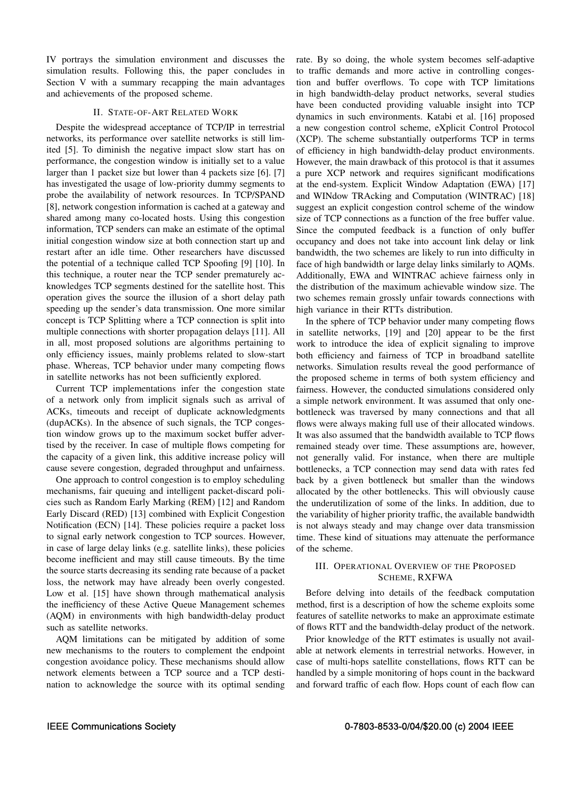IV portrays the simulation environment and discusses the simulation results. Following this, the paper concludes in Section V with a summary recapping the main advantages and achievements of the proposed scheme.

#### II. STATE-OF-ART RELATED WORK

Despite the widespread acceptance of TCP/IP in terrestrial networks, its performance over satellite networks is still limited [5]. To diminish the negative impact slow start has on performance, the congestion window is initially set to a value larger than 1 packet size but lower than 4 packets size [6]. [7] has investigated the usage of low-priority dummy segments to probe the availability of network resources. In TCP/SPAND [8], network congestion information is cached at a gateway and shared among many co-located hosts. Using this congestion information, TCP senders can make an estimate of the optimal initial congestion window size at both connection start up and restart after an idle time. Other researchers have discussed the potential of a technique called TCP Spoofing [9] [10]. In this technique, a router near the TCP sender prematurely acknowledges TCP segments destined for the satellite host. This operation gives the source the illusion of a short delay path speeding up the sender's data transmission. One more similar concept is TCP Splitting where a TCP connection is split into multiple connections with shorter propagation delays [11]. All in all, most proposed solutions are algorithms pertaining to only efficiency issues, mainly problems related to slow-start phase. Whereas, TCP behavior under many competing flows in satellite networks has not been sufficiently explored.

Current TCP implementations infer the congestion state of a network only from implicit signals such as arrival of ACKs, timeouts and receipt of duplicate acknowledgments (dupACKs). In the absence of such signals, the TCP congestion window grows up to the maximum socket buffer advertised by the receiver. In case of multiple flows competing for the capacity of a given link, this additive increase policy will cause severe congestion, degraded throughput and unfairness.

One approach to control congestion is to employ scheduling mechanisms, fair queuing and intelligent packet-discard policies such as Random Early Marking (REM) [12] and Random Early Discard (RED) [13] combined with Explicit Congestion Notification (ECN) [14]. These policies require a packet loss to signal early network congestion to TCP sources. However, in case of large delay links (e.g. satellite links), these policies become inefficient and may still cause timeouts. By the time the source starts decreasing its sending rate because of a packet loss, the network may have already been overly congested. Low et al. [15] have shown through mathematical analysis the inefficiency of these Active Queue Management schemes (AQM) in environments with high bandwidth-delay product such as satellite networks.

AQM limitations can be mitigated by addition of some new mechanisms to the routers to complement the endpoint congestion avoidance policy. These mechanisms should allow network elements between a TCP source and a TCP destination to acknowledge the source with its optimal sending rate. By so doing, the whole system becomes self-adaptive to traffic demands and more active in controlling congestion and buffer overflows. To cope with TCP limitations in high bandwidth-delay product networks, several studies have been conducted providing valuable insight into TCP dynamics in such environments. Katabi et al. [16] proposed a new congestion control scheme, eXplicit Control Protocol (XCP). The scheme substantially outperforms TCP in terms of efficiency in high bandwidth-delay product environments. However, the main drawback of this protocol is that it assumes a pure XCP network and requires significant modifications at the end-system. Explicit Window Adaptation (EWA) [17] and WINdow TRAcking and Computation (WINTRAC) [18] suggest an explicit congestion control scheme of the window size of TCP connections as a function of the free buffer value. Since the computed feedback is a function of only buffer occupancy and does not take into account link delay or link bandwidth, the two schemes are likely to run into difficulty in face of high bandwidth or large delay links similarly to AQMs. Additionally, EWA and WINTRAC achieve fairness only in the distribution of the maximum achievable window size. The two schemes remain grossly unfair towards connections with high variance in their RTTs distribution.

In the sphere of TCP behavior under many competing flows in satellite networks, [19] and [20] appear to be the first work to introduce the idea of explicit signaling to improve both efficiency and fairness of TCP in broadband satellite networks. Simulation results reveal the good performance of the proposed scheme in terms of both system efficiency and fairness. However, the conducted simulations considered only a simple network environment. It was assumed that only onebottleneck was traversed by many connections and that all flows were always making full use of their allocated windows. It was also assumed that the bandwidth available to TCP flows remained steady over time. These assumptions are, however, not generally valid. For instance, when there are multiple bottlenecks, a TCP connection may send data with rates fed back by a given bottleneck but smaller than the windows allocated by the other bottlenecks. This will obviously cause the underutilization of some of the links. In addition, due to the variability of higher priority traffic, the available bandwidth is not always steady and may change over data transmission time. These kind of situations may attenuate the performance of the scheme.

## III. OPERATIONAL OVERVIEW OF THE PROPOSED SCHEME, RXFWA

Before delving into details of the feedback computation method, first is a description of how the scheme exploits some features of satellite networks to make an approximate estimate of flows RTT and the bandwidth-delay product of the network.

Prior knowledge of the RTT estimates is usually not available at network elements in terrestrial networks. However, in case of multi-hops satellite constellations, flows RTT can be handled by a simple monitoring of hops count in the backward and forward traffic of each flow. Hops count of each flow can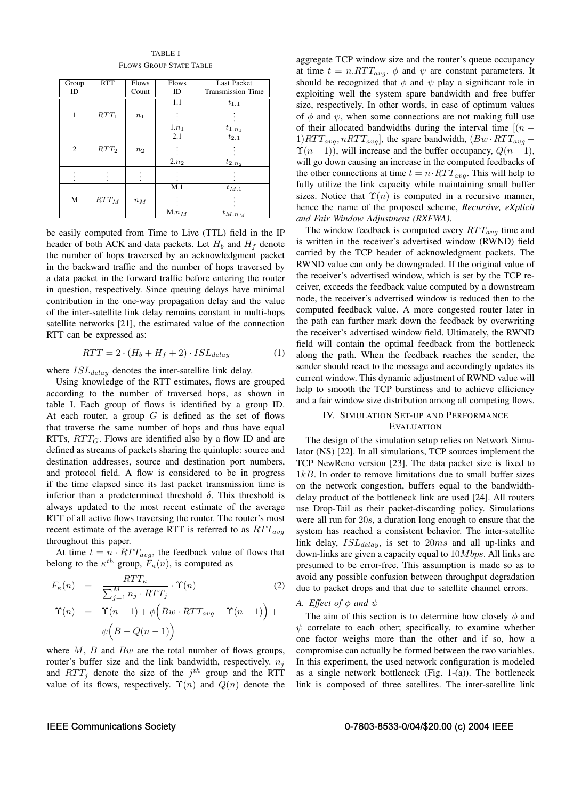| Group          | <b>RTT</b> | Flows          | <b>Flows</b>   | <b>Last Packet</b>      |
|----------------|------------|----------------|----------------|-------------------------|
| ID             |            | Count          | ID             | Transmission Time       |
|                |            |                | 1.1            | $t_{1.1}$               |
| Ш              | $RTT_1$    | $\,n_1$        |                |                         |
|                |            |                | $1.n_1$        | $t_{1.n_1}$             |
|                |            |                | 2.1            | $t_{2.1}$               |
| $\mathfrak{2}$ | $RTT_2$    | n <sub>2</sub> |                |                         |
|                |            |                | $2.n_2$        | $t_{2.n_2}$             |
|                |            |                |                |                         |
|                |            |                | M <sub>1</sub> | $t_{M.1}$               |
| M              | $RTT_M$    | $n_M$          |                |                         |
|                |            |                | $M.n_M$        | $t_{M,\underline{n}_M}$ |

TABLE I FLOWS GROUP STATE TABLE

be easily computed from Time to Live (TTL) field in the IP header of both ACK and data packets. Let  $H_b$  and  $H_f$  denote the number of hops traversed by an acknowledgment packet in the backward traffic and the number of hops traversed by a data packet in the forward traffic before entering the router in question, respectively. Since queuing delays have minimal contribution in the one-way propagation delay and the value of the inter-satellite link delay remains constant in multi-hops satellite networks [21], the estimated value of the connection RTT can be expressed as:

$$
RTT = 2 \cdot (H_b + H_f + 2) \cdot ISL_{delay}
$$
 (1)

where  $ISL_{delay}$  denotes the inter-satellite link delay.

Using knowledge of the RTT estimates, flows are grouped according to the number of traversed hops, as shown in table I. Each group of flows is identified by a group ID. At each router, a group  $G$  is defined as the set of flows that traverse the same number of hops and thus have equal RTTs,  $RTT_G$ . Flows are identified also by a flow ID and are defined as streams of packets sharing the quintuple: source and destination addresses, source and destination port numbers, and protocol field. A flow is considered to be in progress if the time elapsed since its last packet transmission time is inferior than a predetermined threshold  $\delta$ . This threshold is always updated to the most recent estimate of the average RTT of all active flows traversing the router. The router's most recent estimate of the average RTT is referred to as  $RTT_{avg}$ throughout this paper.

At time  $t = n \cdot RTT_{avg}$ , the feedback value of flows that belong to the  $\kappa^{th}$  group,  $\tilde{F}_{\kappa}(n)$ , is computed as

$$
F_{\kappa}(n) = \frac{RTT_{\kappa}}{\sum_{j=1}^{M} n_j \cdot RTT_j} \cdot \Upsilon(n)
$$
(2)  

$$
\Upsilon(n) = \Upsilon(n-1) + \phi\Big(Bw \cdot RTT_{avg} - \Upsilon(n-1)\Big) + \psi\Big(B - Q(n-1)\Big)
$$

where  $M$ ,  $B$  and  $Bw$  are the total number of flows groups, router's buffer size and the link bandwidth, respectively.  $n_j$ and  $RTT_i$  denote the size of the j<sup>th</sup> group and the RTT value of its flows, respectively.  $\Upsilon(n)$  and  $Q(n)$  denote the aggregate TCP window size and the router's queue occupancy at time  $t = n. RTT_{avg}$ .  $\phi$  and  $\psi$  are constant parameters. It should be recognized that  $\phi$  and  $\psi$  play a significant role in exploiting well the system spare bandwidth and free buffer size, respectively. In other words, in case of optimum values of  $\phi$  and  $\psi$ , when some connections are not making full use of their allocated bandwidths during the interval time  $[(n 1)RTT_{avg}$ ,  $nRTT_{avg}$ , the spare bandwidth,  $(Bw \cdot RTT_{avg} \Upsilon(n-1)$ , will increase and the buffer occupancy,  $Q(n-1)$ , will go down causing an increase in the computed feedbacks of the other connections at time  $t = n \cdot RTT_{avg}$ . This will help to fully utilize the link capacity while maintaining small buffer sizes. Notice that  $\Upsilon(n)$  is computed in a recursive manner, hence the name of the proposed scheme, *Recursive, eXplicit and Fair Window Adjustment (RXFWA)*.

The window feedback is computed every  $RTT_{avg}$  time and is written in the receiver's advertised window (RWND) field carried by the TCP header of acknowledgment packets. The RWND value can only be downgraded. If the original value of the receiver's advertised window, which is set by the TCP receiver, exceeds the feedback value computed by a downstream node, the receiver's advertised window is reduced then to the computed feedback value. A more congested router later in the path can further mark down the feedback by overwriting the receiver's advertised window field. Ultimately, the RWND field will contain the optimal feedback from the bottleneck along the path. When the feedback reaches the sender, the sender should react to the message and accordingly updates its current window. This dynamic adjustment of RWND value will help to smooth the TCP burstiness and to achieve efficiency and a fair window size distribution among all competing flows.

### IV. SIMULATION SET-UP AND PERFORMANCE EVALUATION

The design of the simulation setup relies on Network Simulator (NS) [22]. In all simulations, TCP sources implement the TCP NewReno version [23]. The data packet size is fixed to  $1kB$ . In order to remove limitations due to small buffer sizes on the network congestion, buffers equal to the bandwidthdelay product of the bottleneck link are used [24]. All routers use Drop-Tail as their packet-discarding policy. Simulations were all run for 20s, a duration long enough to ensure that the system has reached a consistent behavior. The inter-satellite link delay,  $ISL_{delay}$ , is set to  $20ms$  and all up-links and down-links are given a capacity equal to  $10Mbps$ . All links are presumed to be error-free. This assumption is made so as to avoid any possible confusion between throughput degradation due to packet drops and that due to satellite channel errors.

#### *A. Effect of*  $\phi$  *and*  $\psi$

The aim of this section is to determine how closely  $\phi$  and  $\psi$  correlate to each other; specifically, to examine whether one factor weighs more than the other and if so, how a compromise can actually be formed between the two variables. In this experiment, the used network configuration is modeled as a single network bottleneck (Fig. 1-(a)). The bottleneck link is composed of three satellites. The inter-satellite link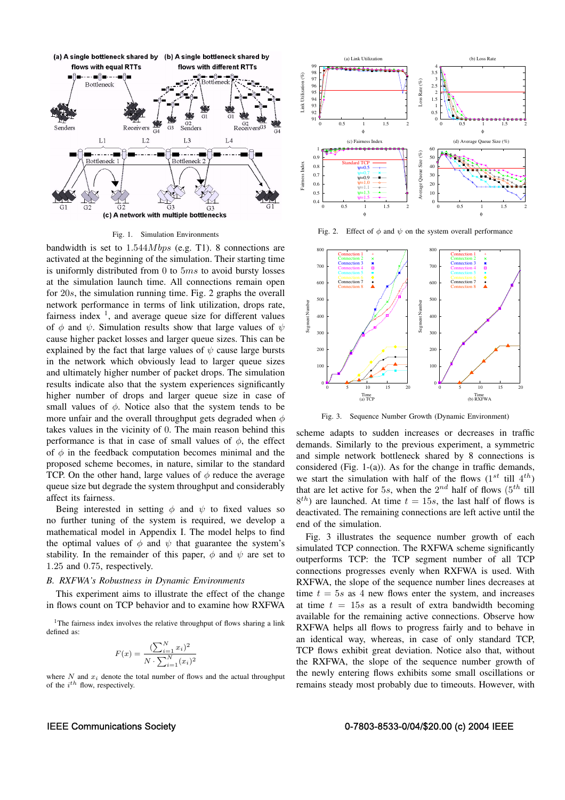

Fig. 1. Simulation Environments

bandwidth is set to  $1.544Mbps$  (e.g. T1). 8 connections are activated at the beginning of the simulation. Their starting time is uniformly distributed from  $0$  to  $5ms$  to avoid bursty losses at the simulation launch time. All connections remain open for 20s, the simulation running time. Fig. 2 graphs the overall network performance in terms of link utilization, drops rate, fairness index  $\frac{1}{1}$ , and average queue size for different values of  $\phi$  and  $\psi$ . Simulation results show that large values of  $\psi$ cause higher packet losses and larger queue sizes. This can be explained by the fact that large values of  $\psi$  cause large bursts in the network which obviously lead to larger queue sizes and ultimately higher number of packet drops. The simulation results indicate also that the system experiences significantly higher number of drops and larger queue size in case of small values of  $\phi$ . Notice also that the system tends to be more unfair and the overall throughput gets degraded when  $\phi$ takes values in the vicinity of 0. The main reason behind this performance is that in case of small values of  $\phi$ , the effect of  $\phi$  in the feedback computation becomes minimal and the proposed scheme becomes, in nature, similar to the standard TCP. On the other hand, large values of  $\phi$  reduce the average queue size but degrade the system throughput and considerably affect its fairness.

Being interested in setting  $\phi$  and  $\psi$  to fixed values so no further tuning of the system is required, we develop a mathematical model in Appendix I. The model helps to find the optimal values of  $\phi$  and  $\psi$  that guarantee the system's stability. In the remainder of this paper,  $\phi$  and  $\psi$  are set to 1.25 and 0.75, respectively.

#### *B. RXFWA's Robustness in Dynamic Environments*

This experiment aims to illustrate the effect of the change in flows count on TCP behavior and to examine how RXFWA

<sup>1</sup>The fairness index involves the relative throughput of flows sharing a link defined as:

$$
F(x) = \frac{(\sum_{i=1}^{N} x_i)^2}{N \cdot \sum_{i=1}^{N} (x_i)^2}
$$

where  $N$  and  $x_i$  denote the total number of flows and the actual throughput of the i*th* flow, respectively.



Fig. 2. Effect of  $\phi$  and  $\psi$  on the system overall performance



Fig. 3. Sequence Number Growth (Dynamic Environment)

scheme adapts to sudden increases or decreases in traffic demands. Similarly to the previous experiment, a symmetric and simple network bottleneck shared by 8 connections is considered (Fig. 1-(a)). As for the change in traffic demands, we start the simulation with half of the flows  $(1^{st}$  till  $4^{th}$ ) that are let active for 5s, when the  $2^{nd}$  half of flows  $(5^{th}$  till  $8<sup>th</sup>$ ) are launched. At time  $t = 15s$ , the last half of flows is deactivated. The remaining connections are left active until the end of the simulation.

Fig. 3 illustrates the sequence number growth of each simulated TCP connection. The RXFWA scheme significantly outperforms TCP: the TCP segment number of all TCP connections progresses evenly when RXFWA is used. With RXFWA, the slope of the sequence number lines decreases at time  $t = 5s$  as 4 new flows enter the system, and increases at time  $t = 15s$  as a result of extra bandwidth becoming available for the remaining active connections. Observe how RXFWA helps all flows to progress fairly and to behave in an identical way, whereas, in case of only standard TCP, TCP flows exhibit great deviation. Notice also that, without the RXFWA, the slope of the sequence number growth of the newly entering flows exhibits some small oscillations or remains steady most probably due to timeouts. However, with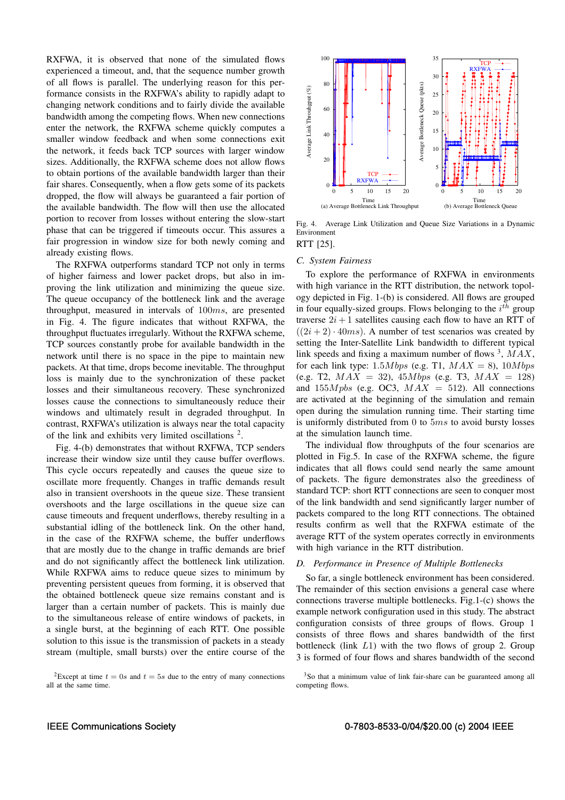RXFWA, it is observed that none of the simulated flows experienced a timeout, and, that the sequence number growth of all flows is parallel. The underlying reason for this performance consists in the RXFWA's ability to rapidly adapt to changing network conditions and to fairly divide the available bandwidth among the competing flows. When new connections enter the network, the RXFWA scheme quickly computes a smaller window feedback and when some connections exit the network, it feeds back TCP sources with larger window sizes. Additionally, the RXFWA scheme does not allow flows to obtain portions of the available bandwidth larger than their fair shares. Consequently, when a flow gets some of its packets dropped, the flow will always be guaranteed a fair portion of the available bandwidth. The flow will then use the allocated portion to recover from losses without entering the slow-start phase that can be triggered if timeouts occur. This assures a fair progression in window size for both newly coming and already existing flows.

The RXFWA outperforms standard TCP not only in terms of higher fairness and lower packet drops, but also in improving the link utilization and minimizing the queue size. The queue occupancy of the bottleneck link and the average throughput, measured in intervals of 100ms, are presented in Fig. 4. The figure indicates that without RXFWA, the throughput fluctuates irregularly. Without the RXFWA scheme, TCP sources constantly probe for available bandwidth in the network until there is no space in the pipe to maintain new packets. At that time, drops become inevitable. The throughput loss is mainly due to the synchronization of these packet losses and their simultaneous recovery. These synchronized losses cause the connections to simultaneously reduce their windows and ultimately result in degraded throughput. In contrast, RXFWA's utilization is always near the total capacity of the link and exhibits very limited oscillations  $2$ .

Fig. 4-(b) demonstrates that without RXFWA, TCP senders increase their window size until they cause buffer overflows. This cycle occurs repeatedly and causes the queue size to oscillate more frequently. Changes in traffic demands result also in transient overshoots in the queue size. These transient overshoots and the large oscillations in the queue size can cause timeouts and frequent underflows, thereby resulting in a substantial idling of the bottleneck link. On the other hand, in the case of the RXFWA scheme, the buffer underflows that are mostly due to the change in traffic demands are brief and do not significantly affect the bottleneck link utilization. While RXFWA aims to reduce queue sizes to minimum by preventing persistent queues from forming, it is observed that the obtained bottleneck queue size remains constant and is larger than a certain number of packets. This is mainly due to the simultaneous release of entire windows of packets, in a single burst, at the beginning of each RTT. One possible solution to this issue is the transmission of packets in a steady stream (multiple, small bursts) over the entire course of the



Fig. 4. Average Link Utilization and Queue Size Variations in a Dynamic Environment RTT [25].

#### *C. System Fairness*

To explore the performance of RXFWA in environments with high variance in the RTT distribution, the network topology depicted in Fig. 1-(b) is considered. All flows are grouped in four equally-sized groups. Flows belonging to the  $i^{th}$  group traverse  $2i + 1$  satellites causing each flow to have an RTT of  $((2i+2)\cdot 40ms)$ . A number of test scenarios was created by setting the Inter-Satellite Link bandwidth to different typical link speeds and fixing a maximum number of flows  $3$ ,  $MAX$ , for each link type:  $1.5Mbps$  (e.g. T1,  $MAX = 8$ ),  $10Mbps$ (e.g. T2,  $MAX = 32$ ),  $45Mbps$  (e.g. T3,  $MAX = 128$ ) and  $155M pbs$  (e.g. OC3,  $MAX = 512$ ). All connections are activated at the beginning of the simulation and remain open during the simulation running time. Their starting time is uniformly distributed from  $0$  to  $5ms$  to avoid bursty losses at the simulation launch time.

The individual flow throughputs of the four scenarios are plotted in Fig.5. In case of the RXFWA scheme, the figure indicates that all flows could send nearly the same amount of packets. The figure demonstrates also the greediness of standard TCP: short RTT connections are seen to conquer most of the link bandwidth and send significantly larger number of packets compared to the long RTT connections. The obtained results confirm as well that the RXFWA estimate of the average RTT of the system operates correctly in environments with high variance in the RTT distribution.

#### *D. Performance in Presence of Multiple Bottlenecks*

So far, a single bottleneck environment has been considered. The remainder of this section envisions a general case where connections traverse multiple bottlenecks. Fig.1-(c) shows the example network configuration used in this study. The abstract configuration consists of three groups of flows. Group 1 consists of three flows and shares bandwidth of the first bottleneck (link  $L_1$ ) with the two flows of group 2. Group 3 is formed of four flows and shares bandwidth of the second

<sup>&</sup>lt;sup>2</sup>Except at time  $t = 0s$  and  $t = 5s$  due to the entry of many connections all at the same time.

<sup>&</sup>lt;sup>3</sup>So that a minimum value of link fair-share can be guaranteed among all competing flows.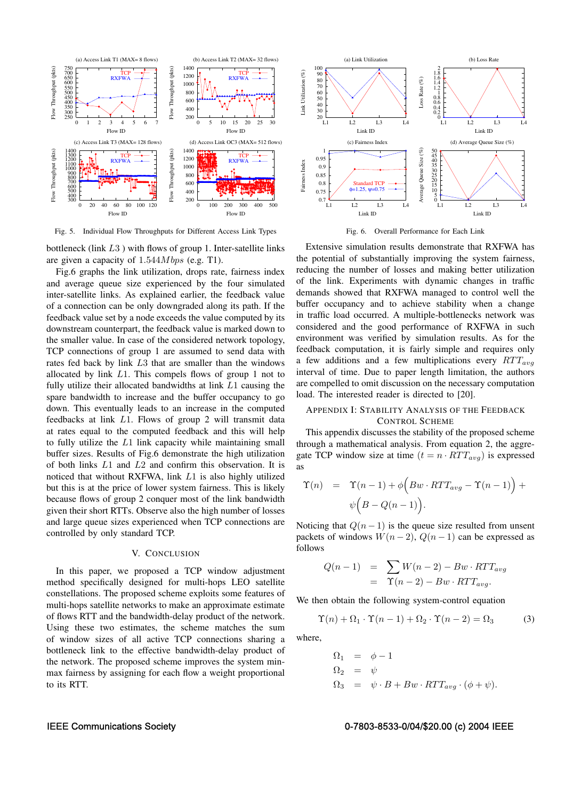

Fig. 5. Individual Flow Throughputs for Different Access Link Types

bottleneck (link L3 ) with flows of group 1. Inter-satellite links are given a capacity of  $1.544Mbps$  (e.g. T1).

Fig.6 graphs the link utilization, drops rate, fairness index and average queue size experienced by the four simulated inter-satellite links. As explained earlier, the feedback value of a connection can be only downgraded along its path. If the feedback value set by a node exceeds the value computed by its downstream counterpart, the feedback value is marked down to the smaller value. In case of the considered network topology, TCP connections of group 1 are assumed to send data with rates fed back by link L3 that are smaller than the windows allocated by link L1. This compels flows of group 1 not to fully utilize their allocated bandwidths at link L1 causing the spare bandwidth to increase and the buffer occupancy to go down. This eventually leads to an increase in the computed feedbacks at link L1. Flows of group 2 will transmit data at rates equal to the computed feedback and this will help to fully utilize the L1 link capacity while maintaining small buffer sizes. Results of Fig.6 demonstrate the high utilization of both links L1 and L2 and confirm this observation. It is noticed that without RXFWA, link L1 is also highly utilized but this is at the price of lower system fairness. This is likely because flows of group 2 conquer most of the link bandwidth given their short RTTs. Observe also the high number of losses and large queue sizes experienced when TCP connections are controlled by only standard TCP.

#### V. CONCLUSION

In this paper, we proposed a TCP window adjustment method specifically designed for multi-hops LEO satellite constellations. The proposed scheme exploits some features of multi-hops satellite networks to make an approximate estimate of flows RTT and the bandwidth-delay product of the network. Using these two estimates, the scheme matches the sum of window sizes of all active TCP connections sharing a bottleneck link to the effective bandwidth-delay product of the network. The proposed scheme improves the system minmax fairness by assigning for each flow a weight proportional to its RTT.



Fig. 6. Overall Performance for Each Link

Extensive simulation results demonstrate that RXFWA has the potential of substantially improving the system fairness, reducing the number of losses and making better utilization of the link. Experiments with dynamic changes in traffic demands showed that RXFWA managed to control well the buffer occupancy and to achieve stability when a change in traffic load occurred. A multiple-bottlenecks network was considered and the good performance of RXFWA in such environment was verified by simulation results. As for the feedback computation, it is fairly simple and requires only a few additions and a few multiplications every  $RTT_{avg}$ interval of time. Due to paper length limitation, the authors are compelled to omit discussion on the necessary computation load. The interested reader is directed to [20].

#### APPENDIX I: STABILITY ANALYSIS OF THE FEEDBACK CONTROL SCHEME

This appendix discusses the stability of the proposed scheme through a mathematical analysis. From equation 2, the aggregate TCP window size at time  $(t = n \cdot RTT_{avg})$  is expressed as

$$
\Upsilon(n) = \Upsilon(n-1) + \phi\Big(Bw \cdot RTT_{avg} - \Upsilon(n-1)\Big) + \psi\Big(B - Q(n-1)\Big).
$$

Noticing that  $Q(n-1)$  is the queue size resulted from unsent packets of windows  $W(n-2)$ ,  $Q(n-1)$  can be expressed as follows

$$
Q(n-1) = \sum W(n-2) - Bw \cdot RTT_{avg}
$$
  
=  $\Upsilon(n-2) - Bw \cdot RTT_{avg}.$ 

We then obtain the following system-control equation

$$
\Upsilon(n) + \Omega_1 \cdot \Upsilon(n-1) + \Omega_2 \cdot \Upsilon(n-2) = \Omega_3 \tag{3}
$$

where,

$$
\begin{array}{rcl}\n\Omega_1 & = & \phi - 1 \\
\Omega_2 & = & \psi \\
\Omega_3 & = & \psi \cdot B + Bw \cdot RTT_{avg} \cdot (\phi + \psi).\n\end{array}
$$